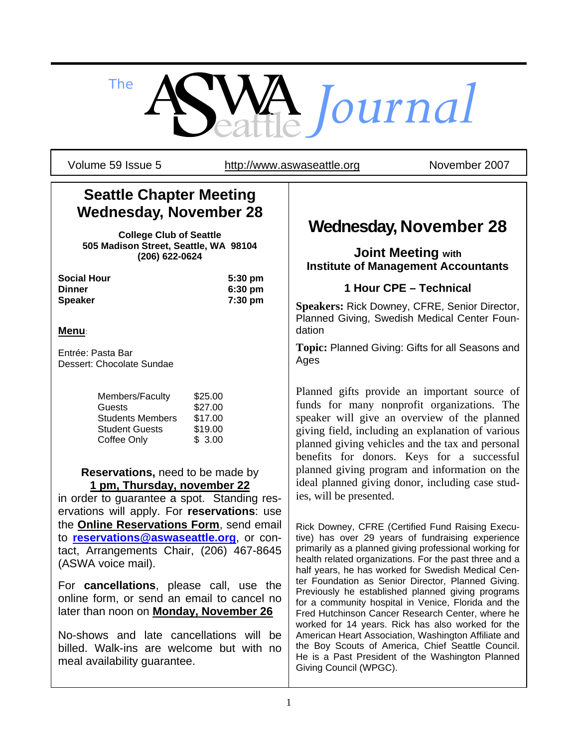*The Journal*

Volume 59 Issue 5 http://www.aswaseattle.org Movember 2007

# **Seattle Chapter Meeting Wednesday, November 28**

**College Club of Seattle 505 Madison Street, Seattle, WA 98104 (206) 622-0624** 

| <b>Social Hour</b> | $5:30 \text{ pm}$ |
|--------------------|-------------------|
| Dinner             | $6:30 \text{ pm}$ |
| Speaker            | 7:30 pm           |

### **Menu**:

Entrée: Pasta Bar Dessert: Chocolate Sundae

| \$25.00 |
|---------|
| \$27.00 |
| \$17.00 |
| \$19.00 |
| \$3.00  |
|         |

#### **Reservations,** need to be made by **1 pm, Thursday, november 22**

in order to guarantee a spot. Standing reservations will apply. For **reservations**: use the **Online Reservations Form**, send email to **reservations@aswaseattle.org**, or contact, Arrangements Chair, (206) 467-8645 (ASWA voice mail).

For **cancellations**, please call, use the online form, or send an email to cancel no later than noon on **Monday, November 26** 

No-shows and late cancellations will be billed. Walk-ins are welcome but with no meal availability guarantee.

# **Wednesday, November 28**

### **Joint Meeting with Institute of Management Accountants**

### **1 Hour CPE – Technical**

**Speakers:** Rick Downey, CFRE, Senior Director, Planned Giving, Swedish Medical Center Foundation

**Topic:** Planned Giving: Gifts for all Seasons and Ages

Planned gifts provide an important source of funds for many nonprofit organizations. The speaker will give an overview of the planned giving field, including an explanation of various planned giving vehicles and the tax and personal benefits for donors. Keys for a successful planned giving program and information on the ideal planned giving donor, including case studies, will be presented.

Rick Downey, CFRE (Certified Fund Raising Executive) has over 29 years of fundraising experience primarily as a planned giving professional working for health related organizations. For the past three and a half years, he has worked for Swedish Medical Center Foundation as Senior Director, Planned Giving. Previously he established planned giving programs for a community hospital in Venice, Florida and the Fred Hutchinson Cancer Research Center, where he worked for 14 years. Rick has also worked for the American Heart Association, Washington Affiliate and the Boy Scouts of America, Chief Seattle Council. He is a Past President of the Washington Planned Giving Council (WPGC).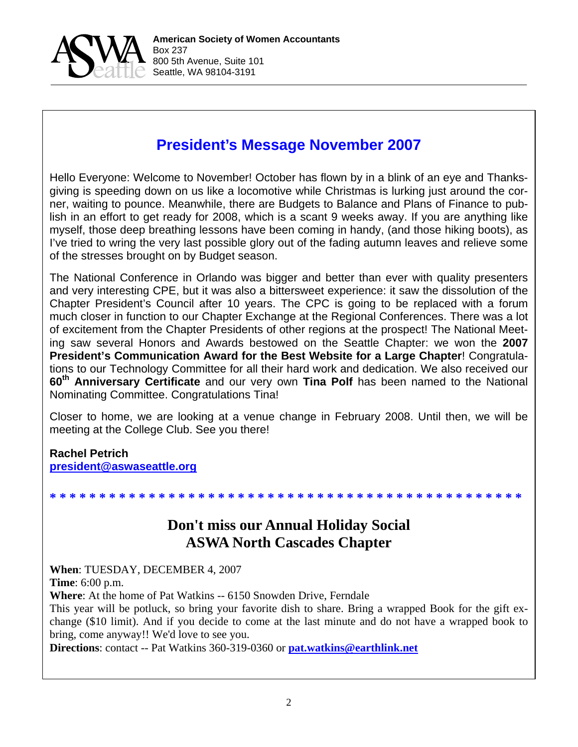

# **President's Message November 2007**

Hello Everyone: Welcome to November! October has flown by in a blink of an eye and Thanksgiving is speeding down on us like a locomotive while Christmas is lurking just around the corner, waiting to pounce. Meanwhile, there are Budgets to Balance and Plans of Finance to publish in an effort to get ready for 2008, which is a scant 9 weeks away. If you are anything like myself, those deep breathing lessons have been coming in handy, (and those hiking boots), as I've tried to wring the very last possible glory out of the fading autumn leaves and relieve some of the stresses brought on by Budget season.

The National Conference in Orlando was bigger and better than ever with quality presenters and very interesting CPE, but it was also a bittersweet experience: it saw the dissolution of the Chapter President's Council after 10 years. The CPC is going to be replaced with a forum much closer in function to our Chapter Exchange at the Regional Conferences. There was a lot of excitement from the Chapter Presidents of other regions at the prospect! The National Meeting saw several Honors and Awards bestowed on the Seattle Chapter: we won the **2007 President's Communication Award for the Best Website for a Large Chapter**! Congratulations to our Technology Committee for all their hard work and dedication. We also received our **60th Anniversary Certificate** and our very own **Tina Polf** has been named to the National Nominating Committee. Congratulations Tina!

Closer to home, we are looking at a venue change in February 2008. Until then, we will be meeting at the College Club. See you there!

#### **Rachel Petrich president@aswaseattle.org**

### **\* \* \* \* \* \* \* \* \* \* \* \* \* \* \* \* \* \* \* \* \* \* \* \* \* \* \* \* \* \* \* \* \* \* \* \* \* \* \* \* \* \* \* \* \* \* \* \***

# **Don't miss our Annual Holiday Social ASWA North Cascades Chapter**

**When**: TUESDAY, DECEMBER 4, 2007

**Time**: 6:00 p.m.

**Where**: At the home of Pat Watkins -- 6150 Snowden Drive, Ferndale

This year will be potluck, so bring your favorite dish to share. Bring a wrapped Book for the gift exchange (\$10 limit). And if you decide to come at the last minute and do not have a wrapped book to bring, come anyway!! We'd love to see you.

**Directions**: contact -- Pat Watkins 360-319-0360 or **pat.watkins@earthlink.net**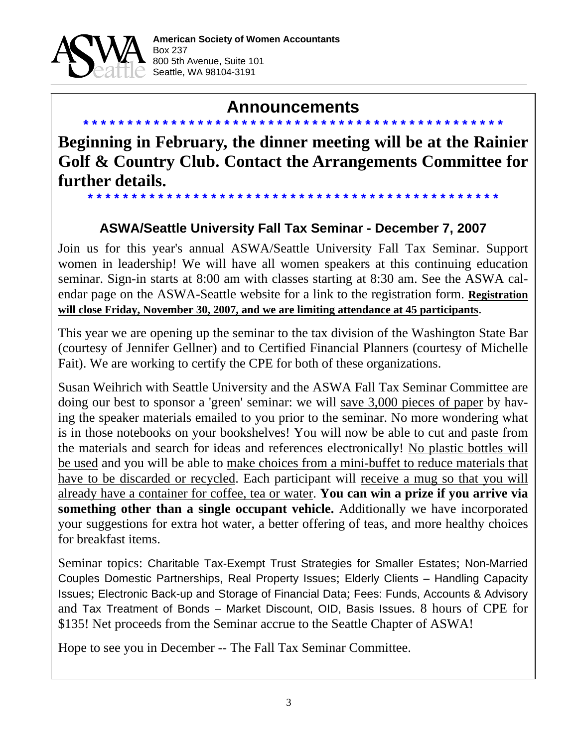

# **Announcements \* \* \* \* \* \* \* \* \* \* \* \* \* \* \* \* \* \* \* \* \* \* \* \* \* \* \* \* \* \* \* \* \* \* \* \* \* \* \* \* \* \* \* \* \* \* \* \***

**Beginning in February, the dinner meeting will be at the Rainier Golf & Country Club. Contact the Arrangements Committee for further details.** 

# **ASWA/Seattle University Fall Tax Seminar - December 7, 2007**

**\* \* \* \* \* \* \* \* \* \* \* \* \* \* \* \* \* \* \* \* \* \* \* \* \* \* \* \* \* \* \* \* \* \* \* \* \* \* \* \* \* \* \* \* \* \* \***

Join us for this year's annual ASWA/Seattle University Fall Tax Seminar. Support women in leadership! We will have all women speakers at this continuing education seminar. Sign-in starts at 8:00 am with classes starting at 8:30 am. See the ASWA calendar page on the ASWA-Seattle website for a link to the registration form. **Registration will close Friday, November 30, 2007, and we are limiting attendance at 45 participants**.

This year we are opening up the seminar to the tax division of the Washington State Bar (courtesy of Jennifer Gellner) and to Certified Financial Planners (courtesy of Michelle Fait). We are working to certify the CPE for both of these organizations.

Susan Weihrich with Seattle University and the ASWA Fall Tax Seminar Committee are doing our best to sponsor a 'green' seminar: we will save 3,000 pieces of paper by having the speaker materials emailed to you prior to the seminar. No more wondering what is in those notebooks on your bookshelves! You will now be able to cut and paste from the materials and search for ideas and references electronically! No plastic bottles will be used and you will be able to make choices from a mini-buffet to reduce materials that have to be discarded or recycled. Each participant will receive a mug so that you will already have a container for coffee, tea or water. **You can win a prize if you arrive via something other than a single occupant vehicle.** Additionally we have incorporated your suggestions for extra hot water, a better offering of teas, and more healthy choices for breakfast items.

Seminar topics: Charitable Tax-Exempt Trust Strategies for Smaller Estates; Non-Married Couples Domestic Partnerships, Real Property Issues; Elderly Clients – Handling Capacity Issues; Electronic Back-up and Storage of Financial Data; Fees: Funds, Accounts & Advisory and Tax Treatment of Bonds – Market Discount, OID, Basis Issues. 8 hours of CPE for \$135! Net proceeds from the Seminar accrue to the Seattle Chapter of ASWA!

Hope to see you in December -- The Fall Tax Seminar Committee.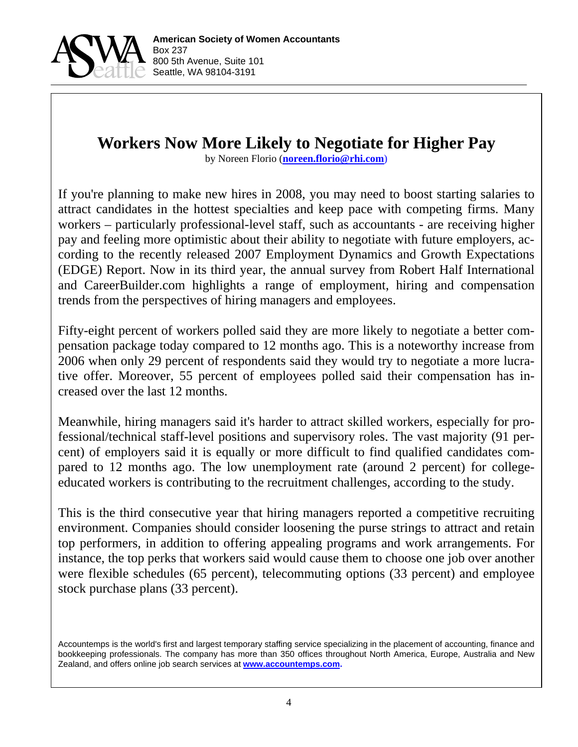

# **Workers Now More Likely to Negotiate for Higher Pay**

by Noreen Florio (**noreen.florio@rhi.com**)

If you're planning to make new hires in 2008, you may need to boost starting salaries to attract candidates in the hottest specialties and keep pace with competing firms. Many workers – particularly professional-level staff, such as accountants - are receiving higher pay and feeling more optimistic about their ability to negotiate with future employers, according to the recently released 2007 Employment Dynamics and Growth Expectations (EDGE) Report. Now in its third year, the annual survey from Robert Half International and CareerBuilder.com highlights a range of employment, hiring and compensation trends from the perspectives of hiring managers and employees.

Fifty-eight percent of workers polled said they are more likely to negotiate a better compensation package today compared to 12 months ago. This is a noteworthy increase from 2006 when only 29 percent of respondents said they would try to negotiate a more lucrative offer. Moreover, 55 percent of employees polled said their compensation has increased over the last 12 months.

Meanwhile, hiring managers said it's harder to attract skilled workers, especially for professional/technical staff-level positions and supervisory roles. The vast majority (91 percent) of employers said it is equally or more difficult to find qualified candidates compared to 12 months ago. The low unemployment rate (around 2 percent) for collegeeducated workers is contributing to the recruitment challenges, according to the study.

This is the third consecutive year that hiring managers reported a competitive recruiting environment. Companies should consider loosening the purse strings to attract and retain top performers, in addition to offering appealing programs and work arrangements. For instance, the top perks that workers said would cause them to choose one job over another were flexible schedules (65 percent), telecommuting options (33 percent) and employee stock purchase plans (33 percent).

Accountemps is the world's first and largest temporary staffing service specializing in the placement of accounting, finance and bookkeeping professionals. The company has more than 350 offices throughout North America, Europe, Australia and New Zealand, and offers online job search services at **www.accountemps.com.**